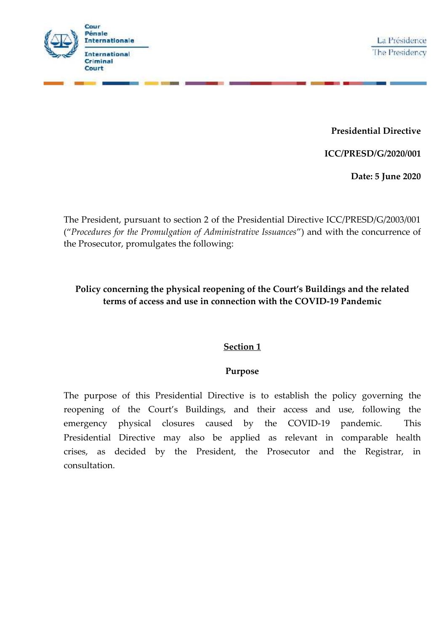

**Presidential Directive**

**ICC/PRESD/G/2020/001**

**Date: 5 June 2020**

The President, pursuant to section 2 of the Presidential Directive ICC/PRESD/G/2003/001 ("*Procedures for the Promulgation of Administrative Issuances*") and with the concurrence of the Prosecutor, promulgates the following:

# **Policy concerning the physical reopening of the Court's Buildings and the related terms of access and use in connection with the COVID-19 Pandemic**

## **Section 1**

## **Purpose**

The purpose of this Presidential Directive is to establish the policy governing the reopening of the Court's Buildings, and their access and use, following the emergency physical closures caused by the COVID-19 pandemic. This Presidential Directive may also be applied as relevant in comparable health crises, as decided by the President, the Prosecutor and the Registrar, in consultation.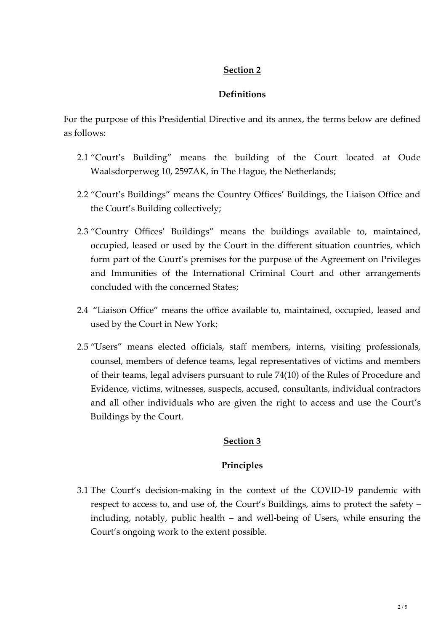# **Section 2**

# **Definitions**

For the purpose of this Presidential Directive and its annex, the terms below are defined as follows:

- 2.1 "Court's Building" means the building of the Court located at Oude Waalsdorperweg 10, 2597AK, in The Hague, the Netherlands;
- 2.2 "Court's Buildings" means the Country Offices' Buildings, the Liaison Office and the Court's Building collectively;
- 2.3 "Country Offices' Buildings" means the buildings available to, maintained, occupied, leased or used by the Court in the different situation countries, which form part of the Court's premises for the purpose of the Agreement on Privileges and Immunities of the International Criminal Court and other arrangements concluded with the concerned States;
- 2.4 "Liaison Office" means the office available to, maintained, occupied, leased and used by the Court in New York;
- 2.5 "Users" means elected officials, staff members, interns, visiting professionals, counsel, members of defence teams, legal representatives of victims and members of their teams, legal advisers pursuant to rule 74(10) of the Rules of Procedure and Evidence, victims, witnesses, suspects, accused, consultants, individual contractors and all other individuals who are given the right to access and use the Court's Buildings by the Court.

# **Section 3**

# **Principles**

3.1 The Court's decision-making in the context of the COVID-19 pandemic with respect to access to, and use of, the Court's Buildings, aims to protect the safety – including, notably, public health – and well-being of Users, while ensuring the Court's ongoing work to the extent possible.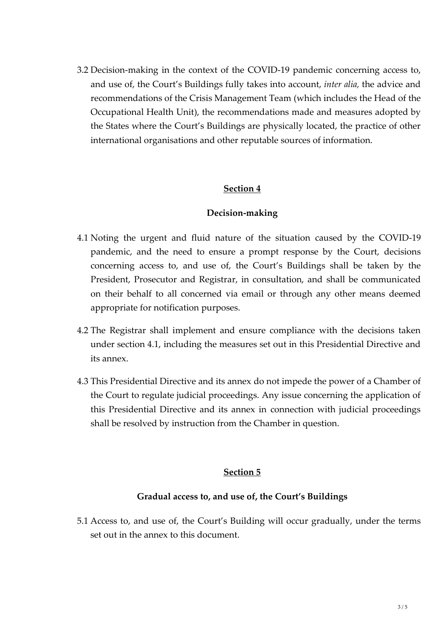3.2 Decision-making in the context of the COVID-19 pandemic concerning access to, and use of, the Court's Buildings fully takes into account, *inter alia,* the advice and recommendations of the Crisis Management Team (which includes the Head of the Occupational Health Unit), the recommendations made and measures adopted by the States where the Court's Buildings are physically located, the practice of other international organisations and other reputable sources of information.

#### **Section 4**

#### **Decision-making**

- 4.1 Noting the urgent and fluid nature of the situation caused by the COVID-19 pandemic, and the need to ensure a prompt response by the Court, decisions concerning access to, and use of, the Court's Buildings shall be taken by the President, Prosecutor and Registrar, in consultation, and shall be communicated on their behalf to all concerned via email or through any other means deemed appropriate for notification purposes.
- 4.2 The Registrar shall implement and ensure compliance with the decisions taken under section 4.1, including the measures set out in this Presidential Directive and its annex.
- 4.3 This Presidential Directive and its annex do not impede the power of a Chamber of the Court to regulate judicial proceedings. Any issue concerning the application of this Presidential Directive and its annex in connection with judicial proceedings shall be resolved by instruction from the Chamber in question.

### **Section 5**

#### **Gradual access to, and use of, the Court's Buildings**

5.1 Access to, and use of, the Court's Building will occur gradually, under the terms set out in the annex to this document.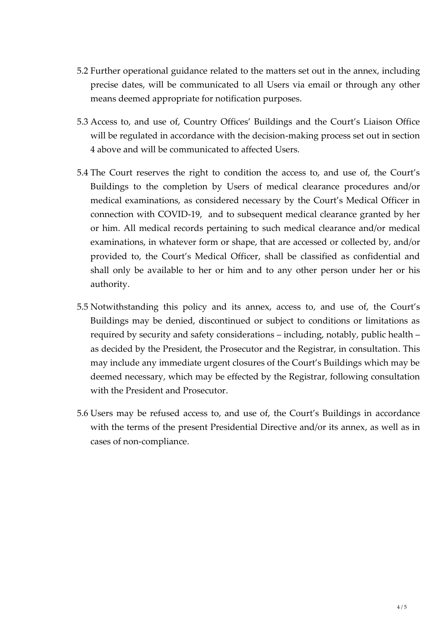- 5.2 Further operational guidance related to the matters set out in the annex, including precise dates, will be communicated to all Users via email or through any other means deemed appropriate for notification purposes.
- 5.3 Access to, and use of, Country Offices' Buildings and the Court's Liaison Office will be regulated in accordance with the decision-making process set out in section 4 above and will be communicated to affected Users.
- 5.4 The Court reserves the right to condition the access to, and use of, the Court's Buildings to the completion by Users of medical clearance procedures and/or medical examinations, as considered necessary by the Court's Medical Officer in connection with COVID-19, and to subsequent medical clearance granted by her or him. All medical records pertaining to such medical clearance and/or medical examinations, in whatever form or shape, that are accessed or collected by, and/or provided to, the Court's Medical Officer, shall be classified as confidential and shall only be available to her or him and to any other person under her or his authority.
- 5.5 Notwithstanding this policy and its annex, access to, and use of, the Court's Buildings may be denied, discontinued or subject to conditions or limitations as required by security and safety considerations – including, notably, public health – as decided by the President, the Prosecutor and the Registrar, in consultation. This may include any immediate urgent closures of the Court's Buildings which may be deemed necessary, which may be effected by the Registrar, following consultation with the President and Prosecutor.
- 5.6 Users may be refused access to, and use of, the Court's Buildings in accordance with the terms of the present Presidential Directive and/or its annex, as well as in cases of non-compliance.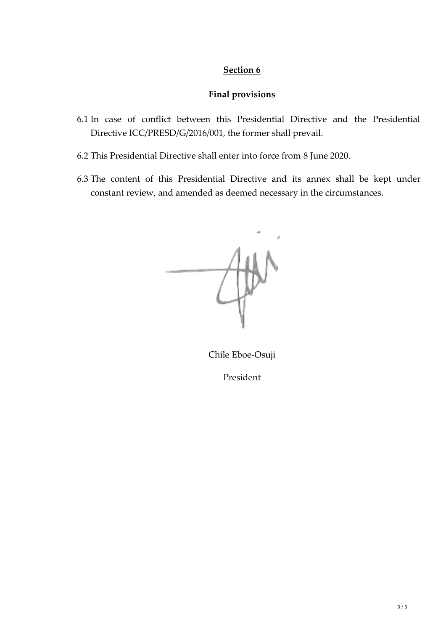## **Section 6**

#### **Final provisions**

- 6.1 In case of conflict between this Presidential Directive and the Presidential Directive ICC/PRESD/G/2016/001, the former shall prevail.
- 6.2 This Presidential Directive shall enter into force from 8 June 2020.
- 6.3 The content of this Presidential Directive and its annex shall be kept under constant review, and amended as deemed necessary in the circumstances.



Chile Eboe-Osuji

President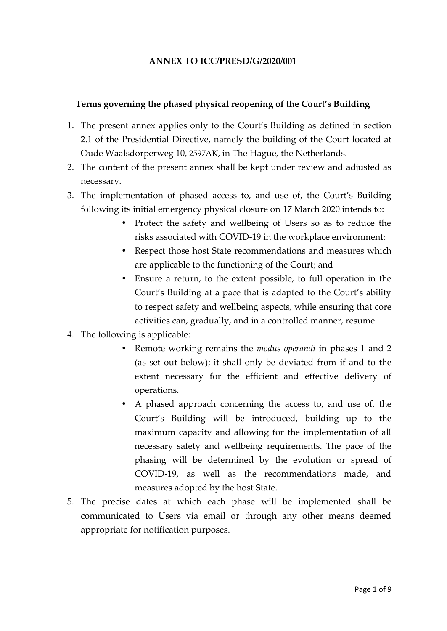#### **ANNEX TO ICC/PRESD/G/2020/001**

#### **Terms governing the phased physical reopening of the Court's Building**

- 1. The present annex applies only to the Court's Building as defined in section 2.1 of the Presidential Directive, namely the building of the Court located at Oude Waalsdorperweg 10, 2597AK, in The Hague, the Netherlands.
- 2. The content of the present annex shall be kept under review and adjusted as necessary.
- 3. The implementation of phased access to, and use of, the Court's Building following its initial emergency physical closure on 17 March 2020 intends to:
	- Protect the safety and wellbeing of Users so as to reduce the risks associated with COVID-19 in the workplace environment;
	- Respect those host State recommendations and measures which are applicable to the functioning of the Court; and
	- Ensure a return, to the extent possible, to full operation in the Court's Building at a pace that is adapted to the Court's ability to respect safety and wellbeing aspects, while ensuring that core activities can, gradually, and in a controlled manner, resume.
- 4. The following is applicable:
	- Remote working remains the *modus operandi* in phases 1 and 2 (as set out below); it shall only be deviated from if and to the extent necessary for the efficient and effective delivery of operations.
	- A phased approach concerning the access to, and use of, the Court's Building will be introduced, building up to the maximum capacity and allowing for the implementation of all necessary safety and wellbeing requirements. The pace of the phasing will be determined by the evolution or spread of COVID-19, as well as the recommendations made, and measures adopted by the host State.
- 5. The precise dates at which each phase will be implemented shall be communicated to Users via email or through any other means deemed appropriate for notification purposes.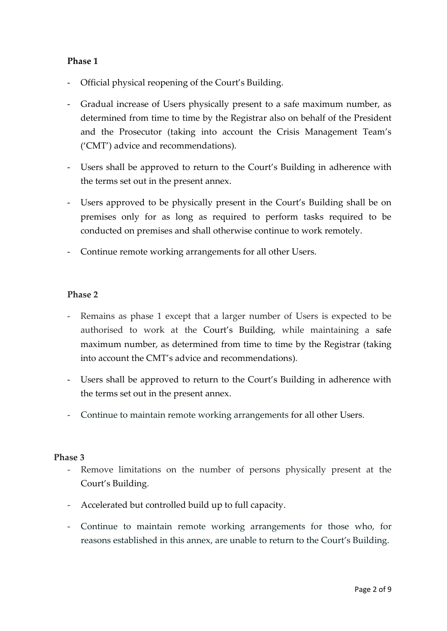### **Phase 1**

- Official physical reopening of the Court's Building.
- Gradual increase of Users physically present to a safe maximum number, as determined from time to time by the Registrar also on behalf of the President and the Prosecutor (taking into account the Crisis Management Team's ('CMT') advice and recommendations).
- Users shall be approved to return to the Court's Building in adherence with the terms set out in the present annex.
- Users approved to be physically present in the Court's Building shall be on premises only for as long as required to perform tasks required to be conducted on premises and shall otherwise continue to work remotely.
- Continue remote working arrangements for all other Users.

#### **Phase 2**

- Remains as phase 1 except that a larger number of Users is expected to be authorised to work at the Court's Building, while maintaining a safe maximum number, as determined from time to time by the Registrar (taking into account the CMT's advice and recommendations).
- Users shall be approved to return to the Court's Building in adherence with the terms set out in the present annex.
- Continue to maintain remote working arrangements for all other Users.

#### **Phase 3**

- Remove limitations on the number of persons physically present at the Court's Building.
- Accelerated but controlled build up to full capacity.
- Continue to maintain remote working arrangements for those who, for reasons established in this annex, are unable to return to the Court's Building.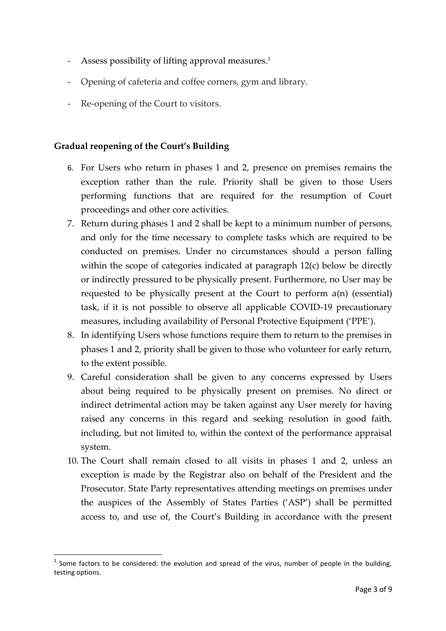- Assess possibility of lifting approval measures.<sup>1</sup>
- Opening of cafeteria and coffee corners, gym and library.
- Re-opening of the Court to visitors.

# **Gradual reopening of the Court's Building**

- 6. For Users who return in phases 1 and 2, presence on premises remains the exception rather than the rule. Priority shall be given to those Users performing functions that are required for the resumption of Court proceedings and other core activities.
- 7. Return during phases 1 and 2 shall be kept to a minimum number of persons, and only for the time necessary to complete tasks which are required to be conducted on premises. Under no circumstances should a person falling within the scope of categories indicated at paragraph 12(c) below be directly or indirectly pressured to be physically present. Furthermore, no User may be requested to be physically present at the Court to perform a(n) (essential) task, if it is not possible to observe all applicable COVID-19 precautionary measures, including availability of Personal Protective Equipment ('PPE').
- 8. In identifying Users whose functions require them to return to the premises in phases 1 and 2, priority shall be given to those who volunteer for early return, to the extent possible.
- 9. Careful consideration shall be given to any concerns expressed by Users about being required to be physically present on premises. No direct or indirect detrimental action may be taken against any User merely for having raised any concerns in this regard and seeking resolution in good faith, including, but not limited to, within the context of the performance appraisal system.
- 10. The Court shall remain closed to all visits in phases 1 and 2, unless an exception is made by the Registrar also on behalf of the President and the Prosecutor. State Party representatives attending meetings on premises under the auspices of the Assembly of States Parties ('ASP') shall be permitted access to, and use of, the Court's Building in accordance with the present

<sup>&</sup>lt;sup>1</sup> Some factors to be considered: the evolution and spread of the virus, number of people in the building, testing options.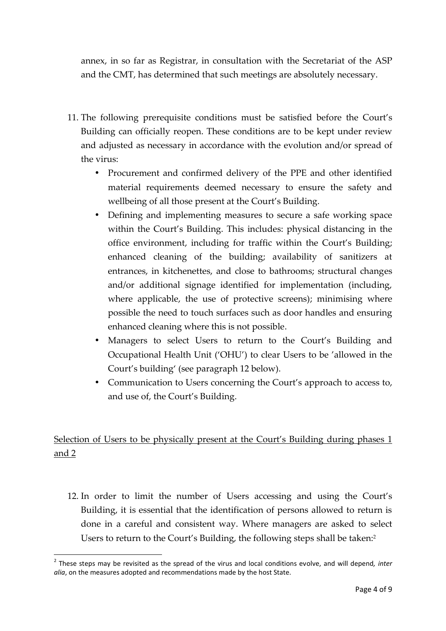annex, in so far as Registrar, in consultation with the Secretariat of the ASP and the CMT, has determined that such meetings are absolutely necessary.

- 11. The following prerequisite conditions must be satisfied before the Court's Building can officially reopen. These conditions are to be kept under review and adjusted as necessary in accordance with the evolution and/or spread of the virus:
	- Procurement and confirmed delivery of the PPE and other identified material requirements deemed necessary to ensure the safety and wellbeing of all those present at the Court's Building.
	- Defining and implementing measures to secure a safe working space within the Court's Building. This includes: physical distancing in the office environment, including for traffic within the Court's Building; enhanced cleaning of the building; availability of sanitizers at entrances, in kitchenettes, and close to bathrooms; structural changes and/or additional signage identified for implementation (including, where applicable, the use of protective screens); minimising where possible the need to touch surfaces such as door handles and ensuring enhanced cleaning where this is not possible.
	- Managers to select Users to return to the Court's Building and Occupational Health Unit ('OHU') to clear Users to be 'allowed in the Court's building' (see paragraph 12 below).
	- Communication to Users concerning the Court's approach to access to, and use of, the Court's Building.

Selection of Users to be physically present at the Court's Building during phases 1 and 2

12. In order to limit the number of Users accessing and using the Court's Building, it is essential that the identification of persons allowed to return is done in a careful and consistent way. Where managers are asked to select Users to return to the Court's Building, the following steps shall be taken:<sup>2</sup>

<sup>2</sup> These steps may be revisited as the spread of the virus and local conditions evolve, and will depend*, inter alia*, on the measures adopted and recommendations made by the host State.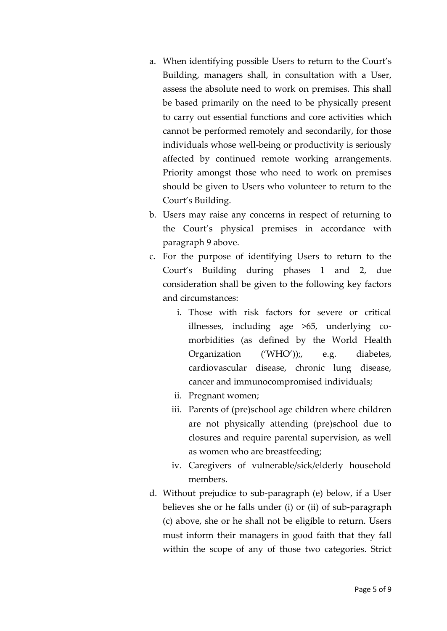- a. When identifying possible Users to return to the Court's Building, managers shall, in consultation with a User, assess the absolute need to work on premises. This shall be based primarily on the need to be physically present to carry out essential functions and core activities which cannot be performed remotely and secondarily, for those individuals whose well-being or productivity is seriously affected by continued remote working arrangements. Priority amongst those who need to work on premises should be given to Users who volunteer to return to the Court's Building.
- b. Users may raise any concerns in respect of returning to the Court's physical premises in accordance with paragraph 9 above.
- c. For the purpose of identifying Users to return to the Court's Building during phases 1 and 2, due consideration shall be given to the following key factors and circumstances:
	- i. Those with risk factors for severe or critical illnesses, including age >65, underlying co morbidities (as defined by the World Health Organization ('WHO'));, e.g. diabetes, cardiovascular disease, chronic lung disease, cancer and immunocompromised individuals;
	- ii. Pregnant women;
	- iii. Parents of (pre)school age children where children are not physically attending (pre)school due to closures and require parental supervision, as well as women who are breastfeeding;
	- iv. Caregivers of vulnerable/sick/elderly household members.
- d. Without prejudice to sub-paragraph (e) below, if a User believes she or he falls under (i) or (ii) of sub-paragraph (c) above, she or he shall not be eligible to return. Users must inform their managers in good faith that they fall within the scope of any of those two categories. Strict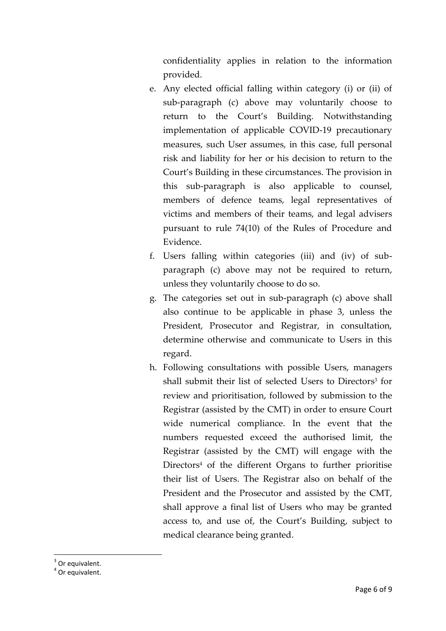confidentiality applies in relation to the information provided.

- e. Any elected official falling within category (i) or (ii) of sub-paragraph (c) above may voluntarily choose to return to the Court's Building. Notwithstanding implementation of applicable COVID-19 precautionary measures, such User assumes, in this case, full personal risk and liability for her or his decision to return to the Court's Building in these circumstances. The provision in this sub-paragraph is also applicable to counsel, members of defence teams, legal representatives of victims and members of their teams, and legal advisers pursuant to rule 74(10) of the Rules of Procedure and Evidence.
- f. Users falling within categories (iii) and (iv) of sub paragraph (c) above may not be required to return, unless they voluntarily choose to do so.
- g. The categories set out in sub-paragraph (c) above shall also continue to be applicable in phase 3, unless the President, Prosecutor and Registrar, in consultation, determine otherwise and communicate to Users in this regard.
- h. Following consultations with possible Users, managers shall submit their list of selected Users to Directors<sup>3</sup> for review and prioritisation, followed by submission to the Registrar (assisted by the CMT) in order to ensure Court wide numerical compliance. In the event that the numbers requested exceed the authorised limit, the Registrar (assisted by the CMT) will engage with the Directors<sup>4</sup> of the different Organs to further prioritise their list of Users. The Registrar also on behalf of the President and the Prosecutor and assisted by the CMT, shall approve a final list of Users who may be granted access to, and use of, the Court's Building, subject to medical clearance being granted.

 $3$  Or equivalent.<br> $4$  Or equivalent.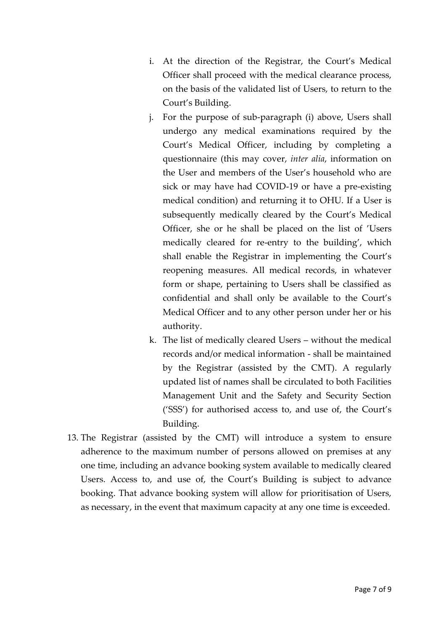- i. At the direction of the Registrar, the Court's Medical Officer shall proceed with the medical clearance process, on the basis of the validated list of Users, to return to the Court's Building.
- j. For the purpose of sub-paragraph (i) above, Users shall undergo any medical examinations required by the Court's Medical Officer, including by completing a questionnaire (this may cover, *inter alia*, information on the User and members of the User's household who are sick or may have had COVID-19 or have a pre-existing medical condition) and returning it to OHU. If a User is subsequently medically cleared by the Court's Medical Officer, she or he shall be placed on the list of 'Users medically cleared for re-entry to the building', which shall enable the Registrar in implementing the Court's reopening measures. All medical records, in whatever form or shape, pertaining to Users shall be classified as confidential and shall only be available to the Court's Medical Officer and to any other person under her or his authority.
- k. The list of medically cleared Users without the medical records and/or medical information - shall be maintained by the Registrar (assisted by the CMT). A regularly updated list of names shall be circulated to both Facilities Management Unit and the Safety and Security Section ('SSS') for authorised access to, and use of, the Court's Building.
- 13. The Registrar (assisted by the CMT) will introduce a system to ensure adherence to the maximum number of persons allowed on premises at any one time, including an advance booking system available to medically cleared Users. Access to, and use of, the Court's Building is subject to advance booking. That advance booking system will allow for prioritisation of Users, as necessary, in the event that maximum capacity at any one time is exceeded.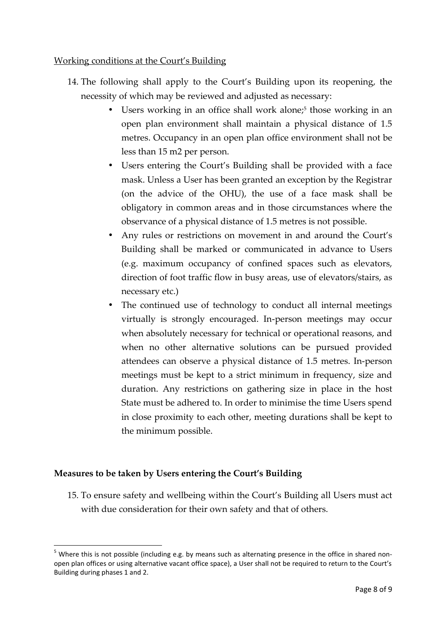### Working conditions at the Court's Building

- 14. The following shall apply to the Court's Building upon its reopening, the necessity of which may be reviewed and adjusted as necessary:
	- $\int$  Users working in an office shall work alone;<sup>5</sup> those working in an open plan environment shall maintain a physical distance of 1.5 metres. Occupancy in an open plan office environment shall not be less than 15 m2 per person.
	- Users entering the Court's Building shall be provided with a face mask. Unless a User has been granted an exception by the Registrar (on the advice of the OHU), the use of a face mask shall be obligatory in common areas and in those circumstances where the observance of a physical distance of 1.5 metres is not possible.
	- Any rules or restrictions on movement in and around the Court's Building shall be marked or communicated in advance to Users (e.g. maximum occupancy of confined spaces such as elevators, direction of foot traffic flow in busy areas, use of elevators/stairs, as necessary etc.)
	- The continued use of technology to conduct all internal meetings virtually is strongly encouraged. In-person meetings may occur when absolutely necessary for technical or operational reasons, and when no other alternative solutions can be pursued provided attendees can observe a physical distance of 1.5 metres. In-person meetings must be kept to a strict minimum in frequency, size and duration. Any restrictions on gathering size in place in the host State must be adhered to. In order to minimise the time Users spend in close proximity to each other, meeting durations shall be kept to the minimum possible.

## **Measures to be taken by Users entering the Court's Building**

15. To ensure safety and wellbeing within the Court's Building all Users must act with due consideration for their own safety and that of others.

<sup>&</sup>lt;sup>5</sup> Where this is not possible (including e.g. by means such as alternating presence in the office in shared nonopen plan offices or using alternative vacant office space), a User shall not be required to return to the Court's Building during phases 1 and 2.